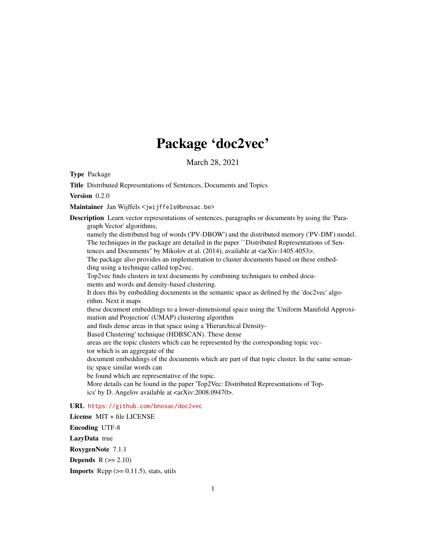## Package 'doc2vec'

March 28, 2021

<span id="page-0-0"></span>Type Package

Title Distributed Representations of Sentences, Documents and Topics

Version 0.2.0

Maintainer Jan Wijffels <jwijffels@bnosac.be>

Description Learn vector representations of sentences, paragraphs or documents by using the 'Paragraph Vector' algorithms, namely the distributed bag of words ('PV-DBOW') and the distributed memory ('PV-DM') model. The techniques in the package are detailed in the paper ``Distributed Representations of Sentences and Documents" by Mikolov et al. (2014), available at <arXiv:1405.4053>. The package also provides an implementation to cluster documents based on these embedding using a technique called top2vec. Top2vec finds clusters in text documents by combining techniques to embed documents and words and density-based clustering. It does this by embedding documents in the semantic space as defined by the 'doc2vec' algorithm. Next it maps these document embeddings to a lower-dimensional space using the 'Uniform Manifold Approximation and Projection' (UMAP) clustering algorithm and finds dense areas in that space using a 'Hierarchical Density-Based Clustering' technique (HDBSCAN). These dense areas are the topic clusters which can be represented by the corresponding topic vector which is an aggregate of the document embeddings of the documents which are part of that topic cluster. In the same semantic space similar words can be found which are representative of the topic. More details can be found in the paper 'Top2Vec: Distributed Representations of Topics' by D. Angelov available at <arXiv:2008.09470>.

#### URL <https://github.com/bnosac/doc2vec>

License MIT + file LICENSE Encoding UTF-8 LazyData true RoxygenNote 7.1.1 **Depends**  $R (=2.10)$ **Imports** Rcpp  $(>= 0.11.5)$ , stats, utils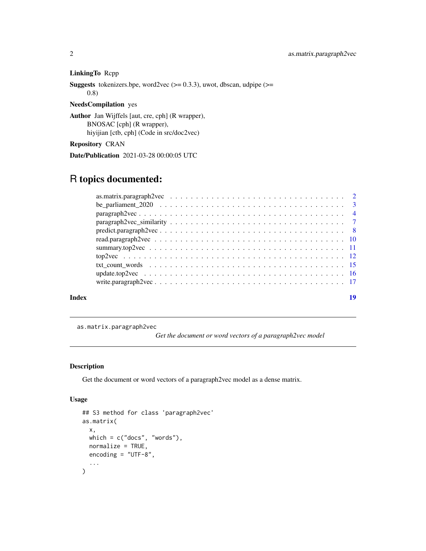#### LinkingTo Rcpp

**Suggests** tokenizers.bpe, word2vec  $(>= 0.3.3)$ , uwot, dbscan, udpipe  $(>= 0.3.3)$ 0.8)

#### NeedsCompilation yes

Author Jan Wijffels [aut, cre, cph] (R wrapper), BNOSAC [cph] (R wrapper), hiyijian [ctb, cph] (Code in src/doc2vec)

Repository CRAN

Date/Publication 2021-03-28 00:00:05 UTC

### R topics documented:

|       | $predict.paragraph2vec \dots \dots \dots \dots \dots \dots \dots \dots \dots \dots \dots \dots \dots \dots \dots \dots$ |    |
|-------|-------------------------------------------------------------------------------------------------------------------------|----|
|       |                                                                                                                         |    |
|       |                                                                                                                         |    |
|       |                                                                                                                         |    |
|       |                                                                                                                         |    |
|       |                                                                                                                         |    |
|       |                                                                                                                         |    |
| Index |                                                                                                                         | 10 |

<span id="page-1-1"></span>as.matrix.paragraph2vec

*Get the document or word vectors of a paragraph2vec model*

#### Description

Get the document or word vectors of a paragraph2vec model as a dense matrix.

#### Usage

```
## S3 method for class 'paragraph2vec'
as.matrix(
  x,
  which = c("does", "words"),
  normalize = TRUE,
  encoding = "UTF-8",
  ...
\mathcal{L}
```
<span id="page-1-0"></span>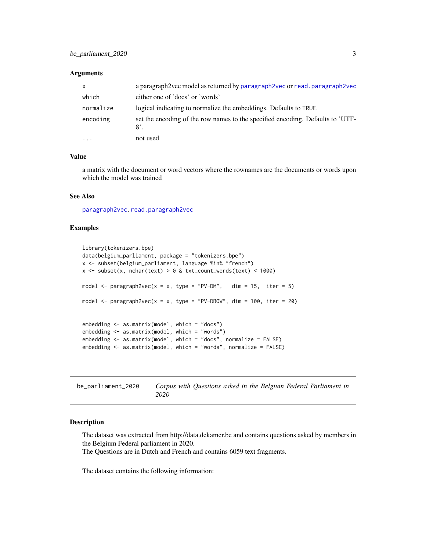#### <span id="page-2-0"></span>**Arguments**

| $\mathsf{x}$ | a paragraph 2 vec model as returned by paragraph 2 vec or read. paragraph 2 vec               |
|--------------|-----------------------------------------------------------------------------------------------|
| which        | either one of 'docs' or 'words'                                                               |
| normalize    | logical indicating to normalize the embeddings. Defaults to TRUE.                             |
| encoding     | set the encoding of the row names to the specified encoding. Defaults to 'UTF-<br>$8^\circ$ . |
| .            | not used                                                                                      |

#### Value

a matrix with the document or word vectors where the rownames are the documents or words upon which the model was trained

#### See Also

[paragraph2vec](#page-3-1), [read.paragraph2vec](#page-9-1)

#### Examples

```
library(tokenizers.bpe)
data(belgium_parliament, package = "tokenizers.bpe")
x <- subset(belgium_parliament, language %in% "french")
x \le - subset(x, nchar(text) > 0 & txt_count_words(text) < 1000)
model \leq paragraph2vec(x = x, type = "PV-DM", dim = 15, iter = 5)
model \leq paragraph2vec(x = x, type = "PV-DBOW", dim = 100, iter = 20)
embedding <- as.matrix(model, which = "docs")
embedding <- as.matrix(model, which = "words")
embedding <- as.matrix(model, which = "docs", normalize = FALSE)
embedding <- as.matrix(model, which = "words", normalize = FALSE)
```

| be_parliament_2020 |      |  |  |  | Corpus with Questions asked in the Belgium Federal Parliament in |  |
|--------------------|------|--|--|--|------------------------------------------------------------------|--|
|                    | 2020 |  |  |  |                                                                  |  |

#### Description

The dataset was extracted from http://data.dekamer.be and contains questions asked by members in the Belgium Federal parliament in 2020.

The Questions are in Dutch and French and contains 6059 text fragments.

The dataset contains the following information: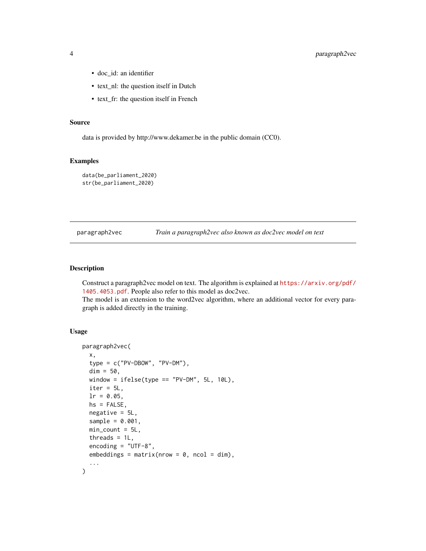- <span id="page-3-0"></span>• doc\_id: an identifier
- text\_nl: the question itself in Dutch
- text\_fr: the question itself in French

#### Source

data is provided by http://www.dekamer.be in the public domain (CC0).

#### Examples

```
data(be_parliament_2020)
str(be_parliament_2020)
```
<span id="page-3-1"></span>

paragraph2vec *Train a paragraph2vec also known as doc2vec model on text*

#### Description

Construct a paragraph2vec model on text. The algorithm is explained at [https://arxiv.org/pdf/](https://arxiv.org/pdf/1405.4053.pdf) [1405.4053.pdf](https://arxiv.org/pdf/1405.4053.pdf). People also refer to this model as doc2vec.

The model is an extension to the word2vec algorithm, where an additional vector for every paragraph is added directly in the training.

#### Usage

```
paragraph2vec(
  x,
  type = c("PV-DBOW", "PV-DM"),
 dim = 50,
 window = ifelse(type == "PV-DM", 5L, 10L),
  iter = 5L,
  lr = 0.05,hs = FALSE,negative = 5L,
  sample = 0.001,min\_count = 5L,
  threads = 1L,
  encoding = "UTF-8",embedding s = matrix(nrow = 0, ncol = dim),...
\mathcal{L}
```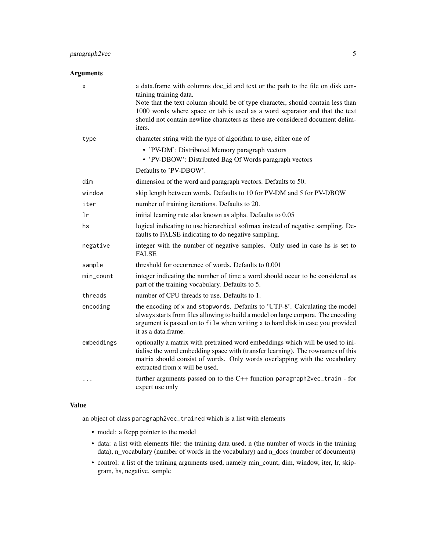#### paragraph2vec 5

#### Arguments

| X          | a data.frame with columns doc_id and text or the path to the file on disk con-<br>taining training data.<br>Note that the text column should be of type character, should contain less than<br>1000 words where space or tab is used as a word separator and that the text<br>should not contain newline characters as these are considered document delim-<br>iters. |
|------------|-----------------------------------------------------------------------------------------------------------------------------------------------------------------------------------------------------------------------------------------------------------------------------------------------------------------------------------------------------------------------|
| type       | character string with the type of algorithm to use, either one of                                                                                                                                                                                                                                                                                                     |
|            | • 'PV-DM': Distributed Memory paragraph vectors<br>• 'PV-DBOW': Distributed Bag Of Words paragraph vectors                                                                                                                                                                                                                                                            |
|            | Defaults to 'PV-DBOW'.                                                                                                                                                                                                                                                                                                                                                |
| dim        | dimension of the word and paragraph vectors. Defaults to 50.                                                                                                                                                                                                                                                                                                          |
| window     | skip length between words. Defaults to 10 for PV-DM and 5 for PV-DBOW                                                                                                                                                                                                                                                                                                 |
| iter       | number of training iterations. Defaults to 20.                                                                                                                                                                                                                                                                                                                        |
| 1r         | initial learning rate also known as alpha. Defaults to 0.05                                                                                                                                                                                                                                                                                                           |
| hs         | logical indicating to use hierarchical softmax instead of negative sampling. De-<br>faults to FALSE indicating to do negative sampling.                                                                                                                                                                                                                               |
| negative   | integer with the number of negative samples. Only used in case hs is set to<br><b>FALSE</b>                                                                                                                                                                                                                                                                           |
| sample     | threshold for occurrence of words. Defaults to 0.001                                                                                                                                                                                                                                                                                                                  |
| min_count  | integer indicating the number of time a word should occur to be considered as<br>part of the training vocabulary. Defaults to 5.                                                                                                                                                                                                                                      |
| threads    | number of CPU threads to use. Defaults to 1.                                                                                                                                                                                                                                                                                                                          |
| encoding   | the encoding of x and stopwords. Defaults to 'UTF-8'. Calculating the model<br>always starts from files allowing to build a model on large corpora. The encoding<br>argument is passed on to file when writing x to hard disk in case you provided<br>it as a data.frame.                                                                                             |
| embeddings | optionally a matrix with pretrained word embeddings which will be used to ini-<br>tialise the word embedding space with (transfer learning). The rownames of this<br>matrix should consist of words. Only words overlapping with the vocabulary<br>extracted from x will be used.                                                                                     |
|            | further arguments passed on to the C++ function paragraph2vec_train - for<br>expert use only                                                                                                                                                                                                                                                                          |

#### Value

an object of class paragraph2vec\_trained which is a list with elements

- model: a Rcpp pointer to the model
- data: a list with elements file: the training data used, n (the number of words in the training data), n\_vocabulary (number of words in the vocabulary) and n\_docs (number of documents)
- control: a list of the training arguments used, namely min\_count, dim, window, iter, lr, skipgram, hs, negative, sample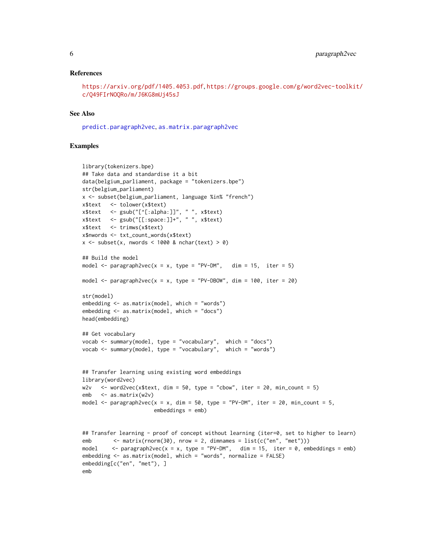#### <span id="page-5-0"></span>References

```
https://arxiv.org/pdf/1405.4053.pdf, https://groups.google.com/g/word2vec-toolkit/
c/Q49FIrNOQRo/m/J6KG8mUj45sJ
```
#### See Also

[predict.paragraph2vec](#page-7-1), [as.matrix.paragraph2vec](#page-1-1)

```
library(tokenizers.bpe)
## Take data and standardise it a bit
data(belgium_parliament, package = "tokenizers.bpe")
str(belgium_parliament)
x <- subset(belgium_parliament, language %in% "french")
x$text <- tolower(x$text)
x$text <- gsub("[^[:alpha:]]", " ", x$text)
x$text <- gsub("[[:space:]]+", " ", x$text)
x$text <- trimws(x$text)
x$nwords <- txt_count_words(x$text)
x \le - subset(x, nwords \le 1000 & nchar(text) > 0)
## Build the model
model \leq paragraph2vec(x = x, type = "PV-DM", dim = 15, iter = 5)
model \le paragraph2vec(x = x, type = "PV-DBOW", dim = 100, iter = 20)
str(model)
embedding <- as.matrix(model, which = "words")
embedding <- as.matrix(model, which = "docs")
head(embedding)
## Get vocabulary
vocab <- summary(model, type = "vocabulary", which = "docs")
vocab \leq summary(model, type = "vocabulary", which = "words")
## Transfer learning using existing word embeddings
library(word2vec)
w2v \le - word2vec(x$text, dim = 50, type = "cbow", iter = 20, min_count = 5)
emb \leq -as_matrix(w2v)model \leq paragraph2vec(x = x, dim = 50, type = "PV-DM", iter = 20, min_count = 5,
                       embeddings = emb)
## Transfer learning - proof of concept without learning (iter=0, set to higher to learn)
emb \leq matrix(rnorm(30), nrow = 2, dimnames = list(c("en", "met")))
model \leq paragraph2vec(x = x, type = "PV-DM", dim = 15, iter = 0, embeddings = emb)
embedding <- as.matrix(model, which = "words", normalize = FALSE)
embedding[c("en", "met"), ]
emb
```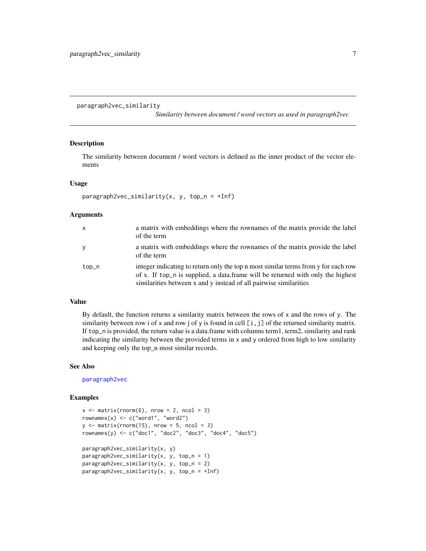#### <span id="page-6-0"></span>paragraph2vec\_similarity

*Similarity between document / word vectors as used in paragraph2vec*

#### Description

The similarity between document / word vectors is defined as the inner product of the vector elements

#### Usage

```
paragnh2vec\_similarity(x, y, top_n = +Inf)
```
#### Arguments

| x     | a matrix with embeddings where the rownames of the matrix provide the label<br>of the term                                                                                                                                                 |
|-------|--------------------------------------------------------------------------------------------------------------------------------------------------------------------------------------------------------------------------------------------|
| y     | a matrix with embeddings where the rownames of the matrix provide the label<br>of the term                                                                                                                                                 |
| top_n | integer indicating to return only the top n most similar terms from y for each row<br>of x. If top n is supplied, a data frame will be returned with only the highest<br>similarities between x and y instead of all pairwise similarities |

#### Value

By default, the function returns a similarity matrix between the rows of  $x$  and the rows of  $y$ . The similarity between row i of x and row j of y is found in cell  $[i, j]$  of the returned similarity matrix. If top\_n is provided, the return value is a data.frame with columns term1, term2, similarity and rank indicating the similarity between the provided terms in x and y ordered from high to low similarity and keeping only the top\_n most similar records.

#### See Also

[paragraph2vec](#page-3-1)

```
x \le - matrix(rnorm(6), nrow = 2, ncol = 3)
rownames(x) \leq c("word1", "word2")
y \le - matrix(rnorm(15), nrow = 5, ncol = 3)
rownames(y) < -c("doc1", "doc2", "doc3", "doc4", "doc5")paragraph2vec_similarity(x, y)
paragnh2vec\_similarity(x, y, top_n = 1)paragnh2vec\_similarity(x, y, top_n = 2)paragnh2vec_simitary(x, y, top_n = +Inf)
```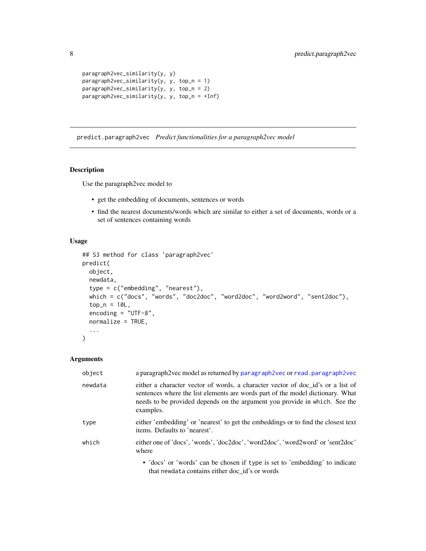```
paragraph2vec_similarity(y, y)
paragraph2vec_similarity(y, y, top_n = 1)
paragraph2vec_similarity(y, y, top_n = 2)
paragraph2vec_similarity(y, y, top_n = +Inf)
```
<span id="page-7-1"></span>predict.paragraph2vec *Predict functionalities for a paragraph2vec model*

#### Description

Use the paragraph2vec model to

- get the embedding of documents, sentences or words
- find the nearest documents/words which are similar to either a set of documents, words or a set of sentences containing words

#### Usage

```
## S3 method for class 'paragraph2vec'
predict(
  object,
  newdata,
  type = c("embedding", "nearest"),
  which = c("docs", "words", "doc2doc", "word2doc", "word2word", "sent2doc"),
  top_n = 10L,
  encoding = "UTF-8",
  normalize = TRUE,
  ...
)
```
#### Arguments

| object  | a paragraph2vec model as returned by paragraph2vec or read, paragraph2vec                                                                                                                                                                                    |
|---------|--------------------------------------------------------------------------------------------------------------------------------------------------------------------------------------------------------------------------------------------------------------|
| newdata | either a character vector of words, a character vector of doc id's or a list of<br>sentences where the list elements are words part of the model dictionary. What<br>needs to be provided depends on the argument you provide in which. See the<br>examples. |
| type    | either 'embedding' or 'nearest' to get the embeddings or to find the closest text<br>items. Defaults to 'nearest'.                                                                                                                                           |
| which   | either one of 'docs', 'words', 'doc2doc', 'word2doc', 'word2word' or 'sent2doc'<br>where                                                                                                                                                                     |
|         | • 'docs' or 'words' can be chosen if type is set to 'embedding' to indicate<br>that newdata contains either doc id's or words                                                                                                                                |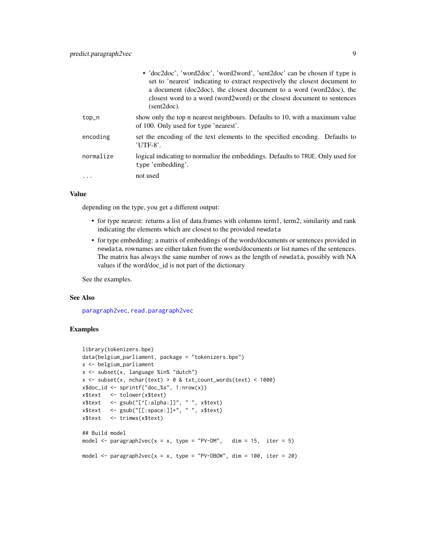<span id="page-8-0"></span>

|           | • 'doc2doc', 'word2doc', 'word2word', 'sent2doc' can be chosen if type is<br>set to 'nearest' indicating to extract respectively the closest document to<br>a document (doc2doc), the closest document to a word (word2doc), the<br>closest word to a word (word2word) or the closest document to sentences<br>$(sent2doc)$ . |
|-----------|-------------------------------------------------------------------------------------------------------------------------------------------------------------------------------------------------------------------------------------------------------------------------------------------------------------------------------|
| top_n     | show only the top n nearest neighbours. Defaults to 10, with a maximum value<br>of 100. Only used for type 'nearest'.                                                                                                                                                                                                         |
| encoding  | set the encoding of the text elements to the specified encoding. Defaults to<br>$'$ UTF-8'.                                                                                                                                                                                                                                   |
| normalize | logical indicating to normalize the embeddings. Defaults to TRUE. Only used for<br>type 'embedding'.                                                                                                                                                                                                                          |
|           | not used                                                                                                                                                                                                                                                                                                                      |

#### Value

depending on the type, you get a different output:

- for type nearest: returns a list of data.frames with columns term1, term2, similarity and rank indicating the elements which are closest to the provided newdata
- for type embedding: a matrix of embeddings of the words/documents or sentences provided in newdata, rownames are either taken from the words/documents or list names of the sentences. The matrix has always the same number of rows as the length of newdata, possibly with NA values if the word/doc\_id is not part of the dictionary

See the examples.

#### See Also

[paragraph2vec](#page-3-1), [read.paragraph2vec](#page-9-1)

```
library(tokenizers.bpe)
data(belgium_parliament, package = "tokenizers.bpe")
x <- belgium_parliament
x <- subset(x, language %in% "dutch")
x \le - subset(x, nchar(text) > 0 & txt_count_words(text) < 1000)
x$doc_id <- sprintf("doc_%s", 1:nrow(x))
x$text <- tolower(x$text)
x$text <- gsub("[^[:alpha:]]", " ", x$text)
x$text <- gsub("[[:space:]]+", " ", x$text)
x$text <- trimws(x$text)
## Build model
model \leq paragraph2vec(x = x, type = "PV-DM", dim = 15, iter = 5)
model \le- paragraph2vec(x = x, type = "PV-DBOW", dim = 100, iter = 20)
```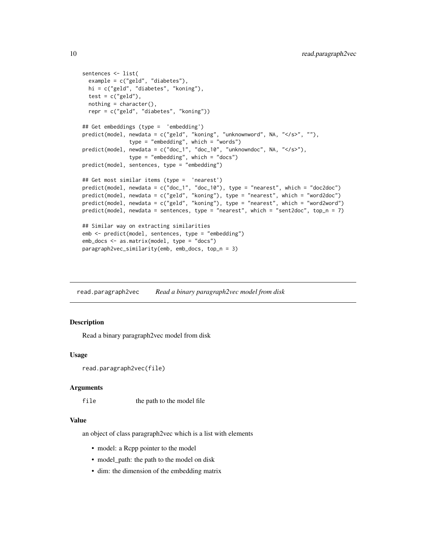```
sentences <- list(
 example = c("geld", "diabetes"),
 hi = c("geld", "diabetes", "koning"),
 test = c("geld"),nothing = character(),repr = c("geld", "diabetes", "koning"))
## Get embeddings (type = 'embedding')
predict(model, newdata = c("geld", "koning", "unknownword", NA, "</s>", ""),
               type = "embedding", which = "words")
predict(model, newdata = c("doc_1", "doc_10", "unknowndoc", NA, "</s>"),
               type = "embedding", which = "docs")
predict(model, sentences, type = "embedding")
## Get most similar items (type = 'nearest')
predict(model, newdata = c("doc_1", "doc_10"), type = "nearest", which = "doc2doc")
predict(model, newdata = c("geld", "koning"), type = "nearest", which = "word2doc")
predict(model, newdata = c("geld", "koning"), type = "nearest", which = "word2word")
predict(model, newdata = sentences, type = "nearest", which = "sent2doc", top_n = 7)
## Similar way on extracting similarities
emb <- predict(model, sentences, type = "embedding")
emb_docs <- as.matrix(model, type = "docs")
paragraph2vec_similarity(emb, emb_docs, top_n = 3)
```
<span id="page-9-1"></span>read.paragraph2vec *Read a binary paragraph2vec model from disk*

#### **Description**

Read a binary paragraph2vec model from disk

#### Usage

```
read.paragraph2vec(file)
```
#### Arguments

file the path to the model file

#### Value

an object of class paragraph2vec which is a list with elements

- model: a Rcpp pointer to the model
- model\_path: the path to the model on disk
- dim: the dimension of the embedding matrix

<span id="page-9-0"></span>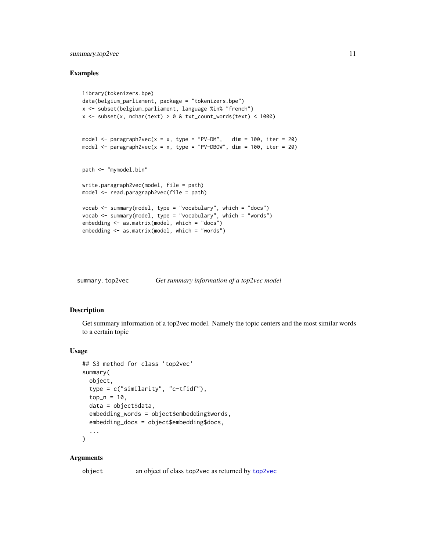#### <span id="page-10-0"></span>summary.top2vec 11

#### Examples

```
library(tokenizers.bpe)
data(belgium_parliament, package = "tokenizers.bpe")
x <- subset(belgium_parliament, language %in% "french")
x \le - subset(x, nchar(text) > 0 & txt_count_words(text) < 1000)
model \leq paragraph2vec(x = x, type = "PV-DM", dim = 100, iter = 20)
model <- paragraph2vec(x = x, type = "PV-DBOW", dim = 100, iter = 20)
path <- "mymodel.bin"
write.paragraph2vec(model, file = path)
model <- read.paragraph2vec(file = path)
vocab <- summary(model, type = "vocabulary", which = "docs")
vocab <- summary(model, type = "vocabulary", which = "words")
embedding <- as.matrix(model, which = "docs")
embedding <- as.matrix(model, which = "words")
```
summary.top2vec *Get summary information of a top2vec model*

#### Description

Get summary information of a top2vec model. Namely the topic centers and the most similar words to a certain topic

#### Usage

```
## S3 method for class 'top2vec'
summary(
 object,
  type = c("similarity", "c-tfidf"),
  top_n = 10,data = object$data,
  embedding_words = object$embedding$words,
  embedding_docs = object$embedding$docs,
  ...
```
#### $\lambda$

#### Arguments

object an object of class top2vec as returned by [top2vec](#page-11-1)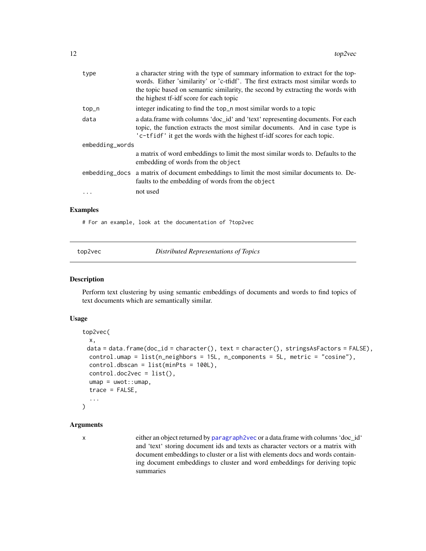<span id="page-11-0"></span>

| type            | a character string with the type of summary information to extract for the top-<br>words. Either 'similarity' or 'c-tfidf'. The first extracts most similar words to<br>the topic based on semantic similarity, the second by extracting the words with<br>the highest tf-idf score for each topic |
|-----------------|----------------------------------------------------------------------------------------------------------------------------------------------------------------------------------------------------------------------------------------------------------------------------------------------------|
| top_n           | integer indicating to find the top_n most similar words to a topic                                                                                                                                                                                                                                 |
| data            | a data.frame with columns 'doc_id' and 'text' representing documents. For each<br>topic, the function extracts the most similar documents. And in case type is<br>'c-tfidf' it get the words with the highest tf-idf scores for each topic.                                                        |
| embedding_words |                                                                                                                                                                                                                                                                                                    |
|                 | a matrix of word embeddings to limit the most similar words to. Defaults to the<br>embedding of words from the object                                                                                                                                                                              |
|                 | embedding docs a matrix of document embeddings to limit the most similar documents to. De-<br>faults to the embedding of words from the object                                                                                                                                                     |
|                 | not used                                                                                                                                                                                                                                                                                           |

#### Examples

# For an example, look at the documentation of ?top2vec

<span id="page-11-1"></span>top2vec *Distributed Representations of Topics*

#### Description

Perform text clustering by using semantic embeddings of documents and words to find topics of text documents which are semantically similar.

#### Usage

```
top2vec(
 x,
 data = data.frame(doc_id = character(), text = character(), stringsAsFactors = FALSE),
 control.umap = list(n\_neighbors = 15L, n\_components = 5L, metric = "cosine"),control.dbscan = list(minPts = 100L),
  control.doc2vec = list(),
  umap = uwot::umap,trace = FALSE,
  ...
\mathcal{L}
```
#### Arguments

x either an object returned by [paragraph2vec](#page-3-1) or a data.frame with columns 'doc\_id' and 'text' storing document ids and texts as character vectors or a matrix with document embeddings to cluster or a list with elements docs and words containing document embeddings to cluster and word embeddings for deriving topic summaries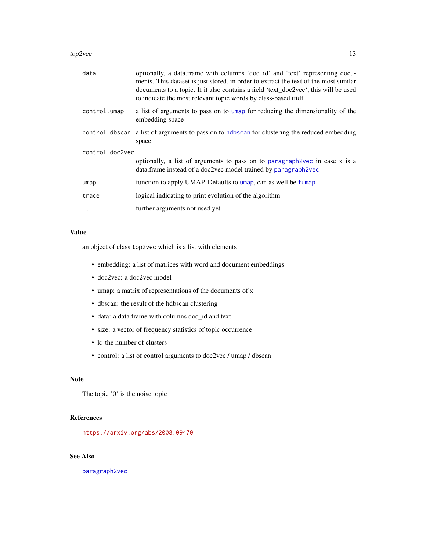#### <span id="page-12-0"></span>top2vec  $\sim$  13

| data            | optionally, a data.frame with columns 'doc_id' and 'text' representing docu-<br>ments. This dataset is just stored, in order to extract the text of the most similar<br>documents to a topic. If it also contains a field 'text_doc2vec', this will be used<br>to indicate the most relevant topic words by class-based tfidf |
|-----------------|-------------------------------------------------------------------------------------------------------------------------------------------------------------------------------------------------------------------------------------------------------------------------------------------------------------------------------|
| control.umap    | a list of arguments to pass on to umap for reducing the dimensionality of the<br>embedding space                                                                                                                                                                                                                              |
|                 | control. dbscan a list of arguments to pass on to hdbscan for clustering the reduced embedding<br>space                                                                                                                                                                                                                       |
| control.doc2vec | optionally, a list of arguments to pass on to paragraph 2vec in case x is a<br>data.frame instead of a doc2vec model trained by paragraph2vec                                                                                                                                                                                 |
| umap            | function to apply UMAP. Defaults to umap, can as well be tumap                                                                                                                                                                                                                                                                |
| trace           | logical indicating to print evolution of the algorithm                                                                                                                                                                                                                                                                        |
| $\ddots$        | further arguments not used yet                                                                                                                                                                                                                                                                                                |

#### Value

an object of class top2vec which is a list with elements

- embedding: a list of matrices with word and document embeddings
- doc2vec: a doc2vec model
- umap: a matrix of representations of the documents of x
- dbscan: the result of the hdbscan clustering
- data: a data.frame with columns doc\_id and text
- size: a vector of frequency statistics of topic occurrence
- k: the number of clusters
- control: a list of control arguments to doc2vec / umap / dbscan

#### Note

The topic '0' is the noise topic

#### References

<https://arxiv.org/abs/2008.09470>

#### See Also

[paragraph2vec](#page-3-1)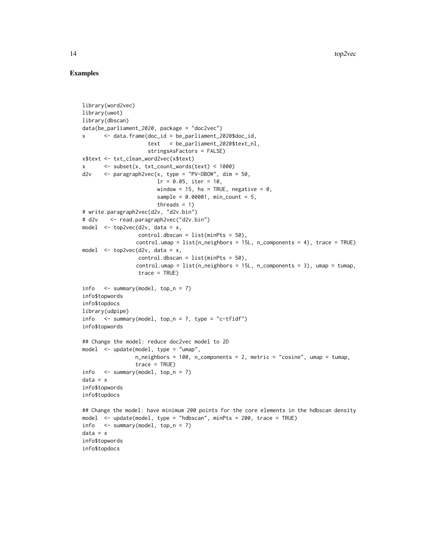```
library(word2vec)
library(uwot)
library(dbscan)
data(be_parliament_2020, package = "doc2vec")
x <- data.frame(doc_id = be_parliament_2020$doc_id,
                     text = be_parliament_2020$text_nl,
                     stringsAsFactors = FALSE)
x$text <- txt_clean_word2vec(x$text)
x <- subset(x, txt_count_words(text) < 1000)
d2v \langle - paragraph2vec(x, type = "PV-DBOW", dim = 50,
                        lr = 0.05, iter = 10,
                        window = 15, hs = TRUE, negative = \theta,
                        sample = 0.00001, min_count = 5,threads = 1)
# write.paragraph2vec(d2v, "d2v.bin")
# d2v <- read.paragraph2vec("d2v.bin")
model \leq top2vec(d2v, data = x,
                  control.dbscan = list(minPts = 50),
                 control.umap = list(n_neighbors = 15L, n_components = 4), trace = TRUE)
model \leq top2vec(d2v, data = x,
                  control.dbscan = list(minPts = 50),
                 control.umap = list(n\_neighbors = 15L, n\_components = 3), umap = tumap,
                 trace = TRUE)
info \leq summary(model, top_n = 7)
info$topwords
info$topdocs
library(udpipe)
info \leq summary(model, top_n = 7, type = "c-tfidf")
info$topwords
## Change the model: reduce doc2vec model to 2D
model <- update(model, type = "umap",
                 n_neighbors = 100, n_components = 2, metric = "cosine", umap = tumap,
                 trace = TRUE)
info <- summary(model, top_n = 7)
data = xinfo$topwords
info$topdocs
## Change the model: have minimum 200 points for the core elements in the hdbscan density
model <- update(model, type = "hdbscan", minPts = 200, trace = TRUE)
info \leq summary(model, top_n = 7)
data = xinfo$topwords
info$topdocs
```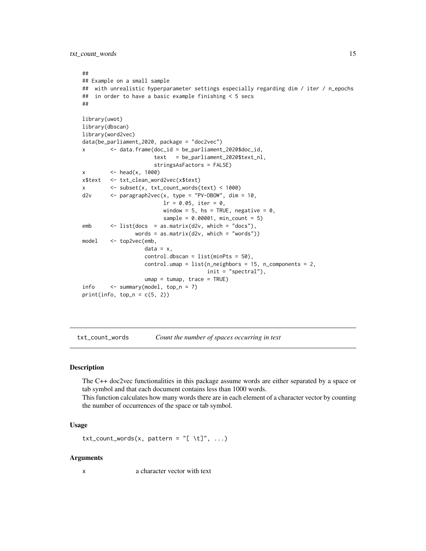<span id="page-14-0"></span>txt\_count\_words 15

```
##
## Example on a small sample
## with unrealistic hyperparameter settings especially regarding dim / iter / n_epochs
## in order to have a basic example finishing < 5 secs
##
library(uwot)
library(dbscan)
library(word2vec)
data(be_parliament_2020, package = "doc2vec")
x <- data.frame(doc_id = be_parliament_2020$doc_id,
                      text = be_parliament_2020$text_nl,
                      stringsAsFactors = FALSE)
x \le - \text{head}(x, 1000)x$text <- txt_clean_word2vec(x$text)
x <- subset(x, txt_count_words(text) < 1000)
d2v <- paragraph2vec(x, type = "PV-DBOW", dim = 10,
                         lr = 0.05, iter = 0,
                         window = 5, hs = TRUE, negative = 0,
                         sample = 0.00001, min_count = 5)
emb <- list(docs = as.matrix(d2v, which = "docs"),
                words = as.matrix(d2v, which = "words")model <- top2vec(emb,
                   data = x,
                   control.dbscan = list(minPts = 50),
                   control.umap = list(n\_neighbors = 15, n\_components = 2,init = "spectral"),
                   umap = tumap, trace = TRUE)
info <- summary(model, top_n = 7)
print(info, top_n = c(5, 2))
```
txt\_count\_words *Count the number of spaces occurring in text*

#### Description

The C++ doc2vec functionalities in this package assume words are either separated by a space or tab symbol and that each document contains less than 1000 words.

This function calculates how many words there are in each element of a character vector by counting the number of occurrences of the space or tab symbol.

#### Usage

```
txt_count_words(x, pattern = "[ \lt t]", ...)
```
#### Arguments

x a character vector with text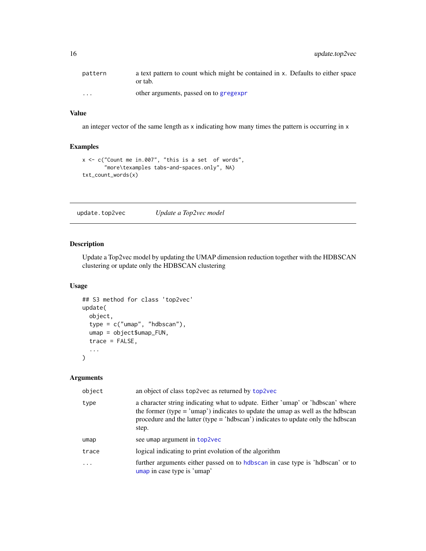<span id="page-15-0"></span>

| pattern                 | a text pattern to count which might be contained in x. Defaults to either space<br>or tab. |
|-------------------------|--------------------------------------------------------------------------------------------|
| $\cdot$ $\cdot$ $\cdot$ | other arguments, passed on to gregexpr                                                     |

#### Value

an integer vector of the same length as x indicating how many times the pattern is occurring in x

#### Examples

```
x <- c("Count me in.007", "this is a set of words",
       "more\texamples tabs-and-spaces.only", NA)
txt_count_words(x)
```
update.top2vec *Update a Top2vec model*

#### Description

Update a Top2vec model by updating the UMAP dimension reduction together with the HDBSCAN clustering or update only the HDBSCAN clustering

#### Usage

```
## S3 method for class 'top2vec'
update(
 object,
  type = c("umap", "hdbscan"),
  umap = object$umap_FUN,
  trace = FALSE,
  ...
)
```
#### Arguments

| object | an object of class top2vec as returned by top2vec                                                                                                                                                                                                                 |
|--------|-------------------------------------------------------------------------------------------------------------------------------------------------------------------------------------------------------------------------------------------------------------------|
| type   | a character string indicating what to udpate. Either 'umap' or 'hdbscan' where<br>the former (type $=$ 'umap') indicates to update the umap as well as the hdbscan<br>procedure and the latter (type $=$ 'hdbscan') indicates to update only the hdbscan<br>step. |
| umap   | see umap argument in top2vec                                                                                                                                                                                                                                      |
| trace  | logical indicating to print evolution of the algorithm                                                                                                                                                                                                            |
| .      | further arguments either passed on to hdbscan in case type is 'hdbscan' or to<br>umap in case type is 'umap'                                                                                                                                                      |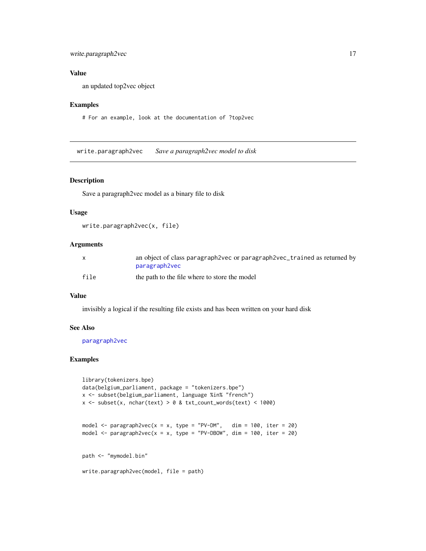#### <span id="page-16-0"></span>write.paragraph2vec 17

#### Value

an updated top2vec object

#### Examples

```
# For an example, look at the documentation of ?top2vec
```
write.paragraph2vec *Save a paragraph2vec model to disk*

#### Description

Save a paragraph2vec model as a binary file to disk

#### Usage

```
write.paragraph2vec(x, file)
```
#### Arguments

|      | an object of class paragraph 2vec or paragraph 2vec_trained as returned by |
|------|----------------------------------------------------------------------------|
|      | paragraph2vec                                                              |
| file | the path to the file where to store the model                              |

#### Value

invisibly a logical if the resulting file exists and has been written on your hard disk

#### See Also

[paragraph2vec](#page-3-1)

```
library(tokenizers.bpe)
data(belgium_parliament, package = "tokenizers.bpe")
x <- subset(belgium_parliament, language %in% "french")
x \le - subset(x, nchar(text) > 0 & txt_count_words(text) < 1000)
model \leq paragraph2vec(x = x, type = "PV-DM", dim = 100, iter = 20)
model <- paragraph2vec(x = x, type = "PV-DBOW", dim = 100, iter = 20)
path <- "mymodel.bin"
write.paragraph2vec(model, file = path)
```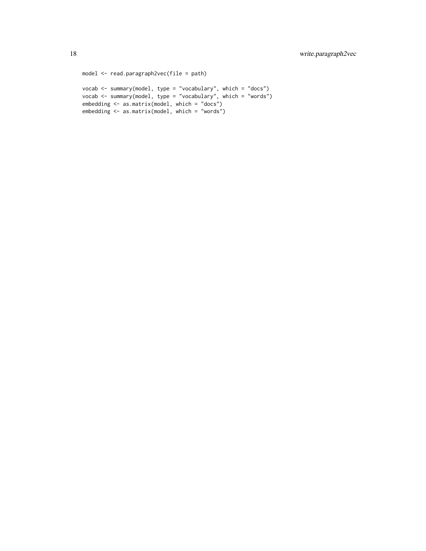```
model <- read.paragraph2vec(file = path)
vocab <- summary(model, type = "vocabulary", which = "docs")
vocab <- summary(model, type = "vocabulary", which = "words")
embedding <- as.matrix(model, which = "docs")
embedding <- as.matrix(model, which = "words")
```